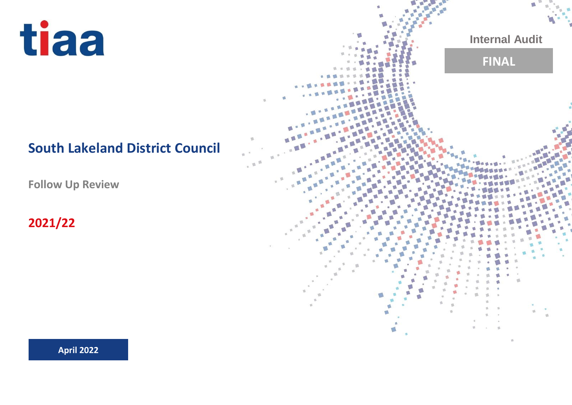

# **South Lakeland District Council**

**Follow Up Review**

**2021/22**

**Internal Audit FINAL**ef.

**April 2022**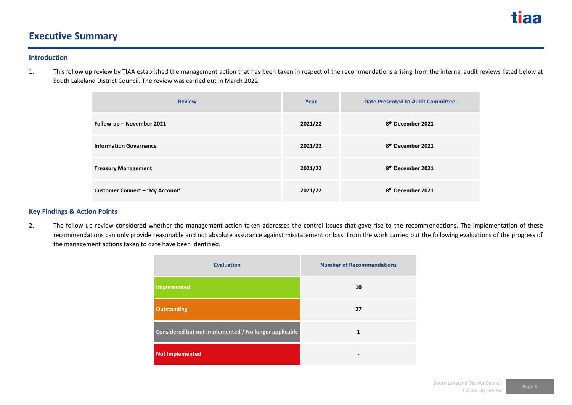

# **Executive Summary**

#### **Introduction**

1. This follow up review by TIAA established the management action that has been taken in respect of the recommendations arising from the internal audit reviews listed below at South Lakeland District Council. The review was carried out in March 2022.

| <b>Review</b>                   | Year    | <b>Date Presented to Audit Committee</b> |
|---------------------------------|---------|------------------------------------------|
| Follow-up - November 2021       | 2021/22 | 8 <sup>th</sup> December 2021            |
| <b>Information Governance</b>   | 2021/22 | 8 <sup>th</sup> December 2021            |
| <b>Treasury Management</b>      | 2021/22 | 8 <sup>th</sup> December 2021            |
| Customer Connect - 'My Account' | 2021/22 | 8 <sup>th</sup> December 2021            |

# **Key Findings & Action Points**

2. The follow up review considered whether the management action taken addresses the control issues that gave rise to the recommendations. The implementation of these recommendations can only provide reasonable and not absolute assurance against misstatement or loss. From the work carried out the following evaluations of the progress of the management actions taken to date have been identified.

| <b>Evaluation</b>                                     | <b>Number of Recommendations</b> |
|-------------------------------------------------------|----------------------------------|
| Implemented                                           | 10                               |
| <b>Outstanding</b>                                    | 27                               |
| Considered but not Implemented / No longer applicable | 1                                |
| <b>Not Implemented</b>                                | -                                |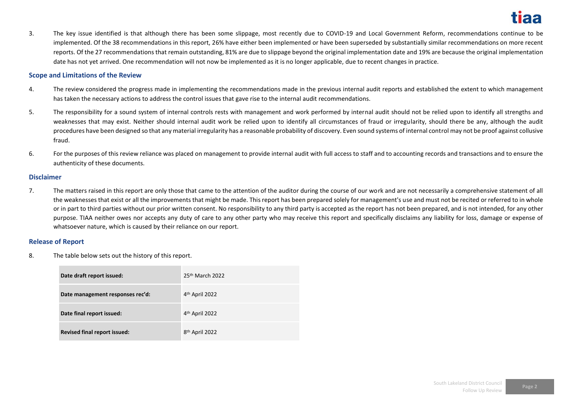3. The key issue identified is that although there has been some slippage, most recently due to COVID-19 and Local Government Reform, recommendations continue to be implemented. Of the 38 recommendations in this report, 26% have either been implemented or have been superseded by substantially similar recommendations on more recent reports. Of the 27 recommendations that remain outstanding, 81% are due to slippage beyond the original implementation date and 19% are because the original implementation date has not yet arrived. One recommendation will not now be implemented as it is no longer applicable, due to recent changes in practice.

### **Scope and Limitations of the Review**

- 4. The review considered the progress made in implementing the recommendations made in the previous internal audit reports and established the extent to which management has taken the necessary actions to address the control issues that gave rise to the internal audit recommendations.
- 5. The responsibility for a sound system of internal controls rests with management and work performed by internal audit should not be relied upon to identify all strengths and weaknesses that may exist. Neither should internal audit work be relied upon to identify all circumstances of fraud or irregularity, should there be any, although the audit procedures have been designed so that any material irregularity has a reasonable probability of discovery. Even sound systems of internal control may not be proof against collusive fraud.
- 6. For the purposes of this review reliance was placed on management to provide internal audit with full access to staff and to accounting records and transactions and to ensure the authenticity of these documents.

#### **Disclaimer**

7. The matters raised in this report are only those that came to the attention of the auditor during the course of our work and are not necessarily a comprehensive statement of all the weaknesses that exist or all the improvements that might be made. This report has been prepared solely for management's use and must not be recited or referred to in whole or in part to third parties without our prior written consent. No responsibility to any third party is accepted as the report has not been prepared, and is not intended, for any other purpose. TIAA neither owes nor accepts any duty of care to any other party who may receive this report and specifically disclaims any liability for loss, damage or expense of whatsoever nature, which is caused by their reliance on our report.

### **Release of Report**

8. The table below sets out the history of this report.

| Date draft report issued:           | $25th$ March $2022$        |
|-------------------------------------|----------------------------|
| Date management responses rec'd:    | 4 <sup>th</sup> April 2022 |
| Date final report issued:           | 4 <sup>th</sup> April 2022 |
| <b>Revised final report issued:</b> | 8 <sup>th</sup> April 2022 |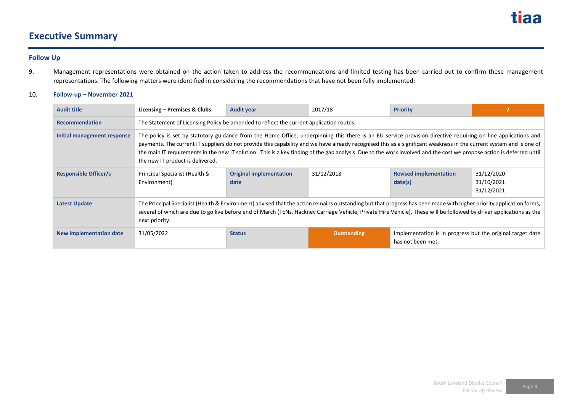

# **Executive Summary**

# **Follow Up**

9. Management representations were obtained on the action taken to address the recommendations and limited testing has been carried out to confirm these management representations. The following matters were identified in considering the recommendations that have not been fully implemented:

# 10. **Follow-up – November 2021**

| <b>Audit title</b>           | Licensing – Premises & Clubs                                                                                                                                                                                                                                                                                                                                                                                                                                                                                                                      | <b>Audit year</b>                                                                       | 2017/18     | <b>Priority</b>                                                                 |                                        |  |  |
|------------------------------|---------------------------------------------------------------------------------------------------------------------------------------------------------------------------------------------------------------------------------------------------------------------------------------------------------------------------------------------------------------------------------------------------------------------------------------------------------------------------------------------------------------------------------------------------|-----------------------------------------------------------------------------------------|-------------|---------------------------------------------------------------------------------|----------------------------------------|--|--|
| <b>Recommendation</b>        |                                                                                                                                                                                                                                                                                                                                                                                                                                                                                                                                                   | The Statement of Licensing Policy be amended to reflect the current application routes. |             |                                                                                 |                                        |  |  |
| Initial management response  | The policy is set by statutory guidance from the Home Office, underpinning this there is an EU service provision directive requiring on line applications and<br>payments. The current IT suppliers do not provide this capability and we have already recognised this as a significant weakness in the current system and is one of<br>the main IT requirements in the new IT solution. This is a key finding of the gap analysis. Due to the work involved and the cost we propose action is deferred until<br>the new IT product is delivered. |                                                                                         |             |                                                                                 |                                        |  |  |
| <b>Responsible Officer/s</b> | Principal Specialist (Health &<br>Environment)                                                                                                                                                                                                                                                                                                                                                                                                                                                                                                    | <b>Original implementation</b><br>date                                                  | 31/12/2018  | <b>Revised implementation</b><br>date(s)                                        | 31/12/2020<br>31/10/2021<br>31/12/2021 |  |  |
| <b>Latest Update</b>         | The Principal Specialist (Health & Environment) advised that the action remains outstanding but that progress has been made with higher priority application forms,<br>several of which are due to go live before end of March (TENs, Hackney Carriage Vehicle, Private Hire Vehicle). These will be followed by driver applications as the<br>next priority.                                                                                                                                                                                     |                                                                                         |             |                                                                                 |                                        |  |  |
| New implementation date      | 31/05/2022                                                                                                                                                                                                                                                                                                                                                                                                                                                                                                                                        | <b>Status</b>                                                                           | Outstanding | Implementation is in progress but the original target date<br>has not been met. |                                        |  |  |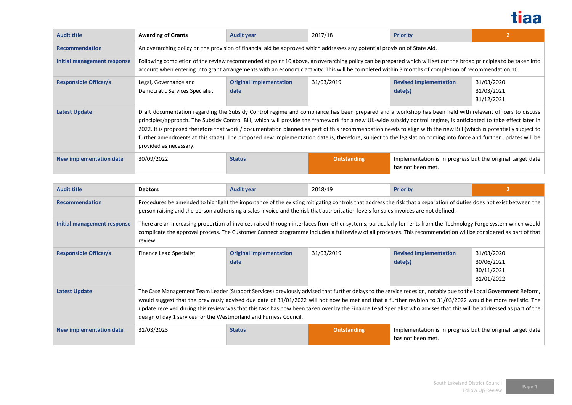

| <b>Audit title</b>           | <b>Awarding of Grants</b>                                                                                                                                                                                                                                                                                                                                                                                                                                                                                                                                                                                                                                                                      | <b>Audit year</b>                                                                                                         | 2017/18            | <b>Priority</b>                                                                 |                                        |  |  |
|------------------------------|------------------------------------------------------------------------------------------------------------------------------------------------------------------------------------------------------------------------------------------------------------------------------------------------------------------------------------------------------------------------------------------------------------------------------------------------------------------------------------------------------------------------------------------------------------------------------------------------------------------------------------------------------------------------------------------------|---------------------------------------------------------------------------------------------------------------------------|--------------------|---------------------------------------------------------------------------------|----------------------------------------|--|--|
| <b>Recommendation</b>        |                                                                                                                                                                                                                                                                                                                                                                                                                                                                                                                                                                                                                                                                                                | An overarching policy on the provision of financial aid be approved which addresses any potential provision of State Aid. |                    |                                                                                 |                                        |  |  |
| Initial management response  | Following completion of the review recommended at point 10 above, an overarching policy can be prepared which will set out the broad principles to be taken into<br>account when entering into grant arrangements with an economic activity. This will be completed within 3 months of completion of recommendation 10.                                                                                                                                                                                                                                                                                                                                                                        |                                                                                                                           |                    |                                                                                 |                                        |  |  |
| <b>Responsible Officer/s</b> | Legal, Governance and<br>Democratic Services Specialist                                                                                                                                                                                                                                                                                                                                                                                                                                                                                                                                                                                                                                        | <b>Original implementation</b><br>date                                                                                    | 31/03/2019         | <b>Revised implementation</b><br>date(s)                                        | 31/03/2020<br>31/03/2021<br>31/12/2021 |  |  |
| Latest Update                | Draft documentation regarding the Subsidy Control regime and compliance has been prepared and a workshop has been held with relevant officers to discuss<br>principles/approach. The Subsidy Control Bill, which will provide the framework for a new UK-wide subsidy control regime, is anticipated to take effect later in<br>2022. It is proposed therefore that work / documentation planned as part of this recommendation needs to align with the new Bill (which is potentially subject to<br>further amendments at this stage). The proposed new implementation date is, therefore, subject to the legislation coming into force and further updates will be<br>provided as necessary. |                                                                                                                           |                    |                                                                                 |                                        |  |  |
| New implementation date      | 30/09/2022                                                                                                                                                                                                                                                                                                                                                                                                                                                                                                                                                                                                                                                                                     | <b>Status</b>                                                                                                             | <b>Outstanding</b> | Implementation is in progress but the original target date<br>has not been met. |                                        |  |  |

| <b>Audit title</b>             | <b>Debtors</b>                                                                                                                                                                                                                                                                                                                                                                                                                                                                                                                                                            | <b>Audit year</b>                      | 2018/19            | <b>Priority</b>                                                                 |                                                      |
|--------------------------------|---------------------------------------------------------------------------------------------------------------------------------------------------------------------------------------------------------------------------------------------------------------------------------------------------------------------------------------------------------------------------------------------------------------------------------------------------------------------------------------------------------------------------------------------------------------------------|----------------------------------------|--------------------|---------------------------------------------------------------------------------|------------------------------------------------------|
| <b>Recommendation</b>          | Procedures be amended to highlight the importance of the existing mitigating controls that address the risk that a separation of duties does not exist between the<br>person raising and the person authorising a sales invoice and the risk that authorisation levels for sales invoices are not defined.                                                                                                                                                                                                                                                                |                                        |                    |                                                                                 |                                                      |
| Initial management response    | There are an increasing proportion of invoices raised through interfaces from other systems, particularly for rents from the Technology Forge system which would<br>complicate the approval process. The Customer Connect programme includes a full review of all processes. This recommendation will be considered as part of that<br>review.                                                                                                                                                                                                                            |                                        |                    |                                                                                 |                                                      |
| <b>Responsible Officer/s</b>   | Finance Lead Specialist                                                                                                                                                                                                                                                                                                                                                                                                                                                                                                                                                   | <b>Original implementation</b><br>date | 31/03/2019         | <b>Revised implementation</b><br>date(s)                                        | 31/03/2020<br>30/06/2021<br>30/11/2021<br>31/01/2022 |
| <b>Latest Update</b>           | The Case Management Team Leader (Support Services) previously advised that further delays to the service redesign, notably due to the Local Government Reform,<br>would suggest that the previously advised due date of 31/01/2022 will not now be met and that a further revision to 31/03/2022 would be more realistic. The<br>update received during this review was that this task has now been taken over by the Finance Lead Specialist who advises that this will be addressed as part of the<br>design of day 1 services for the Westmorland and Furness Council. |                                        |                    |                                                                                 |                                                      |
| <b>New implementation date</b> | 31/03/2023                                                                                                                                                                                                                                                                                                                                                                                                                                                                                                                                                                | <b>Status</b>                          | <b>Outstanding</b> | Implementation is in progress but the original target date<br>has not been met. |                                                      |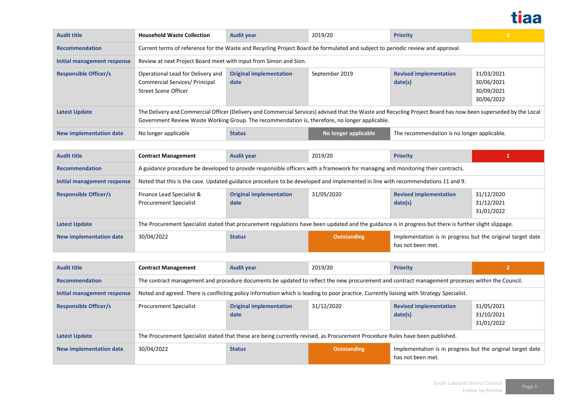

| <b>Audit title</b>           | <b>Household Waste Collection</b>                                                                                                                                                                                                                                | <b>Audit year</b>                                                                                                               | 2019/20              | <b>Priority</b>                             | $\overline{\mathbf{3}}$                              |  |  |
|------------------------------|------------------------------------------------------------------------------------------------------------------------------------------------------------------------------------------------------------------------------------------------------------------|---------------------------------------------------------------------------------------------------------------------------------|----------------------|---------------------------------------------|------------------------------------------------------|--|--|
| <b>Recommendation</b>        |                                                                                                                                                                                                                                                                  | Current terms of reference for the Waste and Recycling Project Board be formulated and subject to periodic review and approval. |                      |                                             |                                                      |  |  |
| Initial management response  | Review at next Project Board meet with input from Simon and Sion.                                                                                                                                                                                                |                                                                                                                                 |                      |                                             |                                                      |  |  |
| <b>Responsible Officer/s</b> | Operational Lead for Delivery and<br>Commercial Services/ Principal<br>Street Scene Officer                                                                                                                                                                      | <b>Original implementation</b><br>date                                                                                          | September 2019       | <b>Revised implementation</b><br>date(s)    | 31/03/2021<br>30/06/2021<br>30/09/2021<br>30/06/2022 |  |  |
| <b>Latest Update</b>         | The Delivery and Commercial Officer (Delivery and Commercial Services) advised that the Waste and Recycling Project Board has now been superseded by the Local<br>Government Review Waste Working Group. The recommendation is, therefore, no longer applicable. |                                                                                                                                 |                      |                                             |                                                      |  |  |
| New implementation date      | No longer applicable                                                                                                                                                                                                                                             | <b>Status</b>                                                                                                                   | No longer applicable | The recommendation is no longer applicable. |                                                      |  |  |

| <b>Audit title</b>           | <b>Contract Management</b>                                                                                                                             | <b>Audit year</b>                      | 2019/20            | <b>Priority</b>                                                                 |                                        |
|------------------------------|--------------------------------------------------------------------------------------------------------------------------------------------------------|----------------------------------------|--------------------|---------------------------------------------------------------------------------|----------------------------------------|
| <b>Recommendation</b>        | A guidance procedure be developed to provide responsible officers with a framework for managing and monitoring their contracts.                        |                                        |                    |                                                                                 |                                        |
| Initial management response  | Noted that this is the case. Updated guidance procedure to be developed and implemented in line with recommendations 11 and 9.                         |                                        |                    |                                                                                 |                                        |
| <b>Responsible Officer/s</b> | Finance Lead Specialist &<br><b>Procurement Specialist</b>                                                                                             | <b>Original implementation</b><br>date | 31/05/2020         | <b>Revised implementation</b><br>date(s)                                        | 31/12/2020<br>31/12/2021<br>31/01/2022 |
| <b>Latest Update</b>         | The Procurement Specialist stated that procurement regulations have been updated and the guidance is in progress but there is further slight slippage. |                                        |                    |                                                                                 |                                        |
| New implementation date      | 30/04/2022                                                                                                                                             | <b>Status</b>                          | <b>Outstanding</b> | Implementation is in progress but the original target date<br>has not been met. |                                        |

| <b>Audit title</b>           | <b>Contract Management</b>                                                                                                                      | <b>Audit year</b>                      | 2019/20            | <b>Priority</b>                                                                 |                                        |
|------------------------------|-------------------------------------------------------------------------------------------------------------------------------------------------|----------------------------------------|--------------------|---------------------------------------------------------------------------------|----------------------------------------|
| <b>Recommendation</b>        | The contract management and procedure documents be updated to reflect the new procurement and contract management processes within the Council. |                                        |                    |                                                                                 |                                        |
| Initial management response  | Noted and agreed. There is conflicting policy information which is leading to poor practice. Currently liaising with Strategy Specialist.       |                                        |                    |                                                                                 |                                        |
| <b>Responsible Officer/s</b> | <b>Procurement Specialist</b>                                                                                                                   | <b>Original implementation</b><br>date | 31/12/2020         | <b>Revised implementation</b><br>date(s)                                        | 31/05/2021<br>31/10/2021<br>31/01/2022 |
| <b>Latest Update</b>         | The Procurement Specialist stated that these are being currently revised, as Procurement Procedure Rules have been published.                   |                                        |                    |                                                                                 |                                        |
| New implementation date      | 30/04/2022                                                                                                                                      | <b>Status</b>                          | <b>Outstanding</b> | Implementation is in progress but the original target date<br>has not been met. |                                        |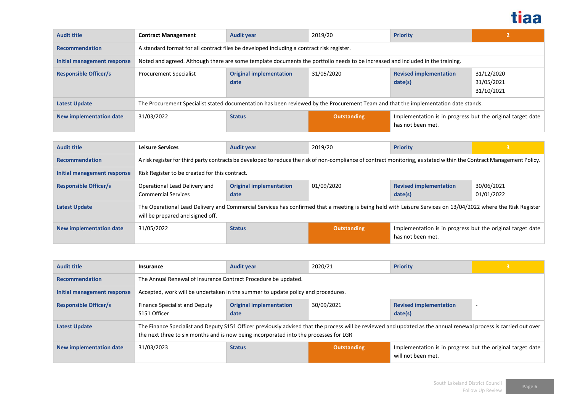

| <b>Audit title</b>           | <b>Contract Management</b>                                                                                                         | <b>Audit year</b>                                                                         | 2019/20            | <b>Priority</b>                                                                 | 2                                      |  |
|------------------------------|------------------------------------------------------------------------------------------------------------------------------------|-------------------------------------------------------------------------------------------|--------------------|---------------------------------------------------------------------------------|----------------------------------------|--|
| <b>Recommendation</b>        |                                                                                                                                    | A standard format for all contract files be developed including a contract risk register. |                    |                                                                                 |                                        |  |
| Initial management response  | Noted and agreed. Although there are some template documents the portfolio needs to be increased and included in the training.     |                                                                                           |                    |                                                                                 |                                        |  |
| <b>Responsible Officer/s</b> | <b>Procurement Specialist</b>                                                                                                      | <b>Original implementation</b><br>date                                                    | 31/05/2020         | <b>Revised implementation</b><br>date(s)                                        | 31/12/2020<br>31/05/2021<br>31/10/2021 |  |
| Latest Update                | The Procurement Specialist stated documentation has been reviewed by the Procurement Team and that the implementation date stands. |                                                                                           |                    |                                                                                 |                                        |  |
| New implementation date      | 31/03/2022                                                                                                                         | <b>Status</b>                                                                             | <b>Outstanding</b> | Implementation is in progress but the original target date<br>has not been met. |                                        |  |

| <b>Audit title</b>           | <b>Leisure Services</b>                                                                                                                                                                          | <b>Audit year</b>                      | 2019/20            | <b>Priority</b>                                                                 | 3                        |
|------------------------------|--------------------------------------------------------------------------------------------------------------------------------------------------------------------------------------------------|----------------------------------------|--------------------|---------------------------------------------------------------------------------|--------------------------|
| <b>Recommendation</b>        | A risk register for third party contracts be developed to reduce the risk of non-compliance of contract monitoring, as stated within the Contract Management Policy.                             |                                        |                    |                                                                                 |                          |
| Initial management response  | Risk Register to be created for this contract.                                                                                                                                                   |                                        |                    |                                                                                 |                          |
| <b>Responsible Officer/s</b> | Operational Lead Delivery and<br><b>Commercial Services</b>                                                                                                                                      | <b>Original implementation</b><br>date | 01/09/2020         | <b>Revised implementation</b><br>date(s)                                        | 30/06/2021<br>01/01/2022 |
| <b>Latest Update</b>         | The Operational Lead Delivery and Commercial Services has confirmed that a meeting is being held with Leisure Services on 13/04/2022 where the Risk Register<br>will be prepared and signed off. |                                        |                    |                                                                                 |                          |
| New implementation date      | 31/05/2022                                                                                                                                                                                       | <b>Status</b>                          | <b>Outstanding</b> | Implementation is in progress but the original target date<br>has not been met. |                          |

| <b>Audit title</b>           | Insurance                                                                                                                                                                                                                                                  | <b>Audit year</b>                                                                | 2020/21     | <b>Priority</b>                                                                  | $\overline{\mathbf{3}}$ |
|------------------------------|------------------------------------------------------------------------------------------------------------------------------------------------------------------------------------------------------------------------------------------------------------|----------------------------------------------------------------------------------|-------------|----------------------------------------------------------------------------------|-------------------------|
| <b>Recommendation</b>        | The Annual Renewal of Insurance Contract Procedure be updated.                                                                                                                                                                                             |                                                                                  |             |                                                                                  |                         |
| Initial management response  |                                                                                                                                                                                                                                                            | Accepted, work will be undertaken in the summer to update policy and procedures. |             |                                                                                  |                         |
| <b>Responsible Officer/s</b> | Finance Specialist and Deputy<br>S151 Officer                                                                                                                                                                                                              | <b>Original implementation</b><br>date                                           | 30/09/2021  | <b>Revised implementation</b><br>date(s)                                         | $\overline{a}$          |
| <b>Latest Update</b>         | The Finance Specialist and Deputy S151 Officer previously advised that the process will be reviewed and updated as the annual renewal process is carried out over<br>the next three to six months and is now being incorporated into the processes for LGR |                                                                                  |             |                                                                                  |                         |
| New implementation date      | 31/03/2023                                                                                                                                                                                                                                                 | <b>Status</b>                                                                    | Outstanding | Implementation is in progress but the original target date<br>will not been met. |                         |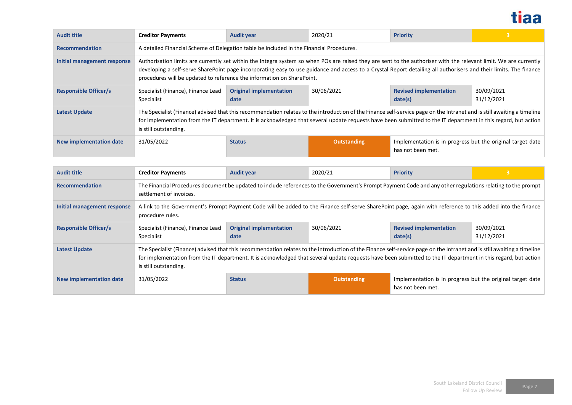

| <b>Audit title</b>             | <b>Creditor Payments</b>                                                                                                                                                                                                                                                                                                                                                                                         | <b>Audit year</b>                                                                                                                                                                                                                                                                                                                         | 2020/21     | <b>Priority</b>                                                                 | $\overline{\mathbf{3}}$  |  |  |
|--------------------------------|------------------------------------------------------------------------------------------------------------------------------------------------------------------------------------------------------------------------------------------------------------------------------------------------------------------------------------------------------------------------------------------------------------------|-------------------------------------------------------------------------------------------------------------------------------------------------------------------------------------------------------------------------------------------------------------------------------------------------------------------------------------------|-------------|---------------------------------------------------------------------------------|--------------------------|--|--|
| <b>Recommendation</b>          | A detailed Financial Scheme of Delegation table be included in the Financial Procedures.                                                                                                                                                                                                                                                                                                                         |                                                                                                                                                                                                                                                                                                                                           |             |                                                                                 |                          |  |  |
| Initial management response    | Authorisation limits are currently set within the Integra system so when POs are raised they are sent to the authoriser with the relevant limit. We are currently<br>developing a self-serve SharePoint page incorporating easy to use guidance and access to a Crystal Report detailing all authorisers and their limits. The finance<br>procedures will be updated to reference the information on SharePoint. |                                                                                                                                                                                                                                                                                                                                           |             |                                                                                 |                          |  |  |
| <b>Responsible Officer/s</b>   | Specialist (Finance), Finance Lead<br>Specialist                                                                                                                                                                                                                                                                                                                                                                 | <b>Original implementation</b><br>date                                                                                                                                                                                                                                                                                                    | 30/06/2021  | <b>Revised implementation</b><br>date(s)                                        | 30/09/2021<br>31/12/2021 |  |  |
| Latest Update                  | is still outstanding.                                                                                                                                                                                                                                                                                                                                                                                            | The Specialist (Finance) advised that this recommendation relates to the introduction of the Finance self-service page on the Intranet and is still awaiting a timeline<br>for implementation from the IT department. It is acknowledged that several update requests have been submitted to the IT department in this regard, but action |             |                                                                                 |                          |  |  |
| <b>New implementation date</b> | 31/05/2022                                                                                                                                                                                                                                                                                                                                                                                                       | <b>Status</b>                                                                                                                                                                                                                                                                                                                             | Outstanding | Implementation is in progress but the original target date<br>has not been met. |                          |  |  |

| <b>Audit title</b>           | <b>Creditor Payments</b>                                                                                                                                                                                                                                                                                                                                           | <b>Audit year</b>                      | 2020/21            | <b>Priority</b>                                                                 |                          |  |  |
|------------------------------|--------------------------------------------------------------------------------------------------------------------------------------------------------------------------------------------------------------------------------------------------------------------------------------------------------------------------------------------------------------------|----------------------------------------|--------------------|---------------------------------------------------------------------------------|--------------------------|--|--|
| <b>Recommendation</b>        | The Financial Procedures document be updated to include references to the Government's Prompt Payment Code and any other regulations relating to the prompt<br>settlement of invoices.                                                                                                                                                                             |                                        |                    |                                                                                 |                          |  |  |
| Initial management response  | A link to the Government's Prompt Payment Code will be added to the Finance self-serve SharePoint page, again with reference to this added into the finance<br>procedure rules.                                                                                                                                                                                    |                                        |                    |                                                                                 |                          |  |  |
| <b>Responsible Officer/s</b> | Specialist (Finance), Finance Lead<br>Specialist                                                                                                                                                                                                                                                                                                                   | <b>Original implementation</b><br>date | 30/06/2021         | <b>Revised implementation</b><br>date(s)                                        | 30/09/2021<br>31/12/2021 |  |  |
| <b>Latest Update</b>         | The Specialist (Finance) advised that this recommendation relates to the introduction of the Finance self-service page on the Intranet and is still awaiting a timeline<br>for implementation from the IT department. It is acknowledged that several update requests have been submitted to the IT department in this regard, but action<br>is still outstanding. |                                        |                    |                                                                                 |                          |  |  |
| New implementation date      | 31/05/2022                                                                                                                                                                                                                                                                                                                                                         | <b>Status</b>                          | <b>Outstanding</b> | Implementation is in progress but the original target date<br>has not been met. |                          |  |  |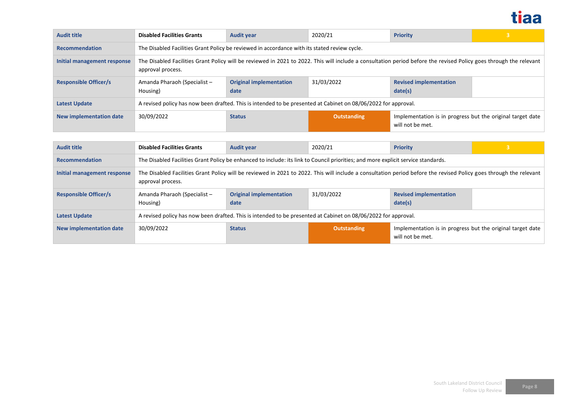

| <b>Audit title</b>           | <b>Disabled Facilities Grants</b>                                                                                                                                                       | <b>Audit year</b>                                                                                              | 2020/21            | <b>Priority</b>                                                                | 3 |  |
|------------------------------|-----------------------------------------------------------------------------------------------------------------------------------------------------------------------------------------|----------------------------------------------------------------------------------------------------------------|--------------------|--------------------------------------------------------------------------------|---|--|
| <b>Recommendation</b>        | The Disabled Facilities Grant Policy be reviewed in accordance with its stated review cycle.                                                                                            |                                                                                                                |                    |                                                                                |   |  |
| Initial management response  | The Disabled Facilities Grant Policy will be reviewed in 2021 to 2022. This will include a consultation period before the revised Policy goes through the relevant<br>approval process. |                                                                                                                |                    |                                                                                |   |  |
| <b>Responsible Officer/s</b> | Amanda Pharaoh (Specialist -<br>Housing)                                                                                                                                                | <b>Original implementation</b><br>date                                                                         | 31/03/2022         | <b>Revised implementation</b><br>date(s)                                       |   |  |
| <b>Latest Update</b>         |                                                                                                                                                                                         | A revised policy has now been drafted. This is intended to be presented at Cabinet on 08/06/2022 for approval. |                    |                                                                                |   |  |
| New implementation date      | 30/09/2022                                                                                                                                                                              | <b>Status</b>                                                                                                  | <b>Outstanding</b> | Implementation is in progress but the original target date<br>will not be met. |   |  |

| <b>Audit title</b>             | <b>Disabled Facilities Grants</b>        | <b>Audit year</b>                                                                                                                                                  | 2020/21            | <b>Priority</b>                                                                |  |  |  |  |
|--------------------------------|------------------------------------------|--------------------------------------------------------------------------------------------------------------------------------------------------------------------|--------------------|--------------------------------------------------------------------------------|--|--|--|--|
| <b>Recommendation</b>          |                                          | The Disabled Facilities Grant Policy be enhanced to include: its link to Council priorities; and more explicit service standards.                                  |                    |                                                                                |  |  |  |  |
| Initial management response    | approval process.                        | The Disabled Facilities Grant Policy will be reviewed in 2021 to 2022. This will include a consultation period before the revised Policy goes through the relevant |                    |                                                                                |  |  |  |  |
| <b>Responsible Officer/s</b>   | Amanda Pharaoh (Specialist -<br>Housing) | <b>Original implementation</b><br>date                                                                                                                             | 31/03/2022         | <b>Revised implementation</b><br>date(s)                                       |  |  |  |  |
| <b>Latest Update</b>           |                                          | A revised policy has now been drafted. This is intended to be presented at Cabinet on 08/06/2022 for approval.                                                     |                    |                                                                                |  |  |  |  |
| <b>New implementation date</b> | 30/09/2022                               | <b>Status</b>                                                                                                                                                      | <b>Outstanding</b> | Implementation is in progress but the original target date<br>will not be met. |  |  |  |  |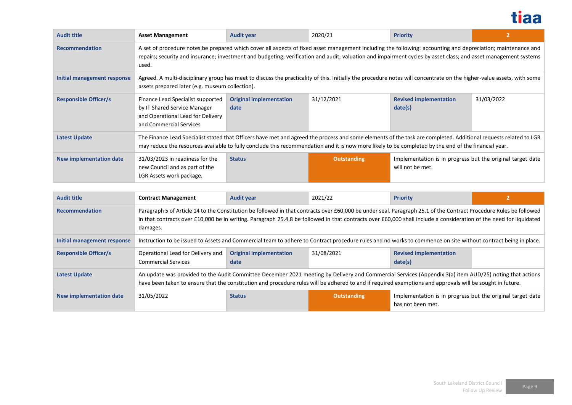

| <b>Audit title</b>             | <b>Asset Management</b>                                                                                                                                                                                                                                                                                                                  | <b>Audit year</b>                                                                                                                                                                                                                                                                                                        | 2020/21            | <b>Priority</b>                                                                | $\overline{2}$ |  |  |
|--------------------------------|------------------------------------------------------------------------------------------------------------------------------------------------------------------------------------------------------------------------------------------------------------------------------------------------------------------------------------------|--------------------------------------------------------------------------------------------------------------------------------------------------------------------------------------------------------------------------------------------------------------------------------------------------------------------------|--------------------|--------------------------------------------------------------------------------|----------------|--|--|
| <b>Recommendation</b>          | A set of procedure notes be prepared which cover all aspects of fixed asset management including the following: accounting and depreciation; maintenance and<br>repairs; security and insurance; investment and budgeting; verification and audit; valuation and impairment cycles by asset class; and asset management systems<br>used. |                                                                                                                                                                                                                                                                                                                          |                    |                                                                                |                |  |  |
| Initial management response    | Agreed. A multi-disciplinary group has meet to discuss the practicality of this. Initially the procedure notes will concentrate on the higher-value assets, with some<br>assets prepared later (e.g. museum collection).                                                                                                                 |                                                                                                                                                                                                                                                                                                                          |                    |                                                                                |                |  |  |
| <b>Responsible Officer/s</b>   | Finance Lead Specialist supported<br>by IT Shared Service Manager<br>and Operational Lead for Delivery<br>and Commercial Services                                                                                                                                                                                                        | <b>Original implementation</b><br>date                                                                                                                                                                                                                                                                                   | 31/12/2021         | <b>Revised implementation</b><br>date(s)                                       | 31/03/2022     |  |  |
| <b>Latest Update</b>           |                                                                                                                                                                                                                                                                                                                                          | The Finance Lead Specialist stated that Officers have met and agreed the process and some elements of the task are completed. Additional requests related to LGR<br>may reduce the resources available to fully conclude this recommendation and it is now more likely to be completed by the end of the financial year. |                    |                                                                                |                |  |  |
| <b>New implementation date</b> | 31/03/2023 in readiness for the<br>new Council and as part of the<br>LGR Assets work package.                                                                                                                                                                                                                                            | <b>Status</b>                                                                                                                                                                                                                                                                                                            | <b>Outstanding</b> | Implementation is in progress but the original target date<br>will not be met. |                |  |  |

| <b>Audit title</b>           | <b>Contract Management</b>                                                                                                                                                                                                                                                                                                                           | <b>Audit year</b>                                                                                                                                                                                                                                                                                                    | 2021/22            | <b>Priority</b>                                                                 |  |  |
|------------------------------|------------------------------------------------------------------------------------------------------------------------------------------------------------------------------------------------------------------------------------------------------------------------------------------------------------------------------------------------------|----------------------------------------------------------------------------------------------------------------------------------------------------------------------------------------------------------------------------------------------------------------------------------------------------------------------|--------------------|---------------------------------------------------------------------------------|--|--|
| <b>Recommendation</b>        | Paragraph 5 of Article 14 to the Constitution be followed in that contracts over £60,000 be under seal. Paragraph 25.1 of the Contract Procedure Rules be followed<br>in that contracts over £10,000 be in writing. Paragraph 25.4.8 be followed in that contracts over £60,000 shall include a consideration of the need for liquidated<br>damages. |                                                                                                                                                                                                                                                                                                                      |                    |                                                                                 |  |  |
| Initial management response  | Instruction to be issued to Assets and Commercial team to adhere to Contract procedure rules and no works to commence on site without contract being in place.                                                                                                                                                                                       |                                                                                                                                                                                                                                                                                                                      |                    |                                                                                 |  |  |
| <b>Responsible Officer/s</b> | Operational Lead for Delivery and<br><b>Commercial Services</b>                                                                                                                                                                                                                                                                                      | <b>Original implementation</b><br>date                                                                                                                                                                                                                                                                               | 31/08/2021         | <b>Revised implementation</b><br>date(s)                                        |  |  |
| <b>Latest Update</b>         |                                                                                                                                                                                                                                                                                                                                                      | An update was provided to the Audit Committee December 2021 meeting by Delivery and Commercial Services (Appendix 3(a) item AUD/25) noting that actions<br>have been taken to ensure that the constitution and procedure rules will be adhered to and if required exemptions and approvals will be sought in future. |                    |                                                                                 |  |  |
| New implementation date      | 31/05/2022                                                                                                                                                                                                                                                                                                                                           | <b>Status</b>                                                                                                                                                                                                                                                                                                        | <b>Outstanding</b> | Implementation is in progress but the original target date<br>has not been met. |  |  |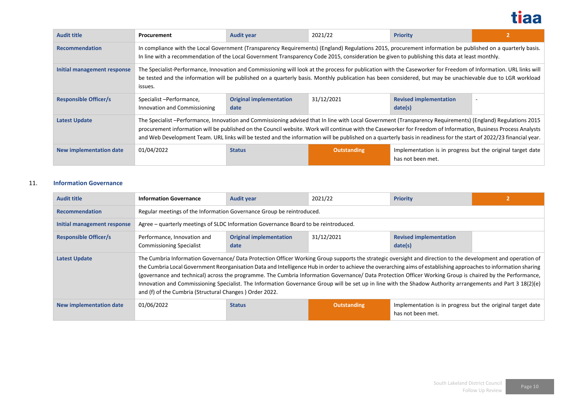

| <b>Audit title</b>           | <b>Procurement</b>                                                                                                                                                                                                                                                                                                                        | <b>Audit year</b>                                                                                                                                                                                                                                                                                                                                                                                                                                                                                    | 2021/22            | <b>Priority</b>                                                                 |                          |  |  |  |
|------------------------------|-------------------------------------------------------------------------------------------------------------------------------------------------------------------------------------------------------------------------------------------------------------------------------------------------------------------------------------------|------------------------------------------------------------------------------------------------------------------------------------------------------------------------------------------------------------------------------------------------------------------------------------------------------------------------------------------------------------------------------------------------------------------------------------------------------------------------------------------------------|--------------------|---------------------------------------------------------------------------------|--------------------------|--|--|--|
| <b>Recommendation</b>        |                                                                                                                                                                                                                                                                                                                                           | In compliance with the Local Government (Transparency Requirements) (England) Regulations 2015, procurement information be published on a quarterly basis.<br>In line with a recommendation of the Local Government Transparency Code 2015, consideration be given to publishing this data at least monthly.                                                                                                                                                                                         |                    |                                                                                 |                          |  |  |  |
| Initial management response  | The Specialist-Performance, Innovation and Commissioning will look at the process for publication with the Caseworker for Freedom of Information. URL links will<br>be tested and the information will be published on a quarterly basis. Monthly publication has been considered, but may be unachievable due to LGR workload<br>issues. |                                                                                                                                                                                                                                                                                                                                                                                                                                                                                                      |                    |                                                                                 |                          |  |  |  |
| <b>Responsible Officer/s</b> | Specialist-Performance,<br>Innovation and Commissioning                                                                                                                                                                                                                                                                                   | <b>Original implementation</b><br>date                                                                                                                                                                                                                                                                                                                                                                                                                                                               | 31/12/2021         | <b>Revised implementation</b><br>date(s)                                        | $\overline{\phantom{a}}$ |  |  |  |
| Latest Update                |                                                                                                                                                                                                                                                                                                                                           | The Specialist -Performance, Innovation and Commissioning advised that In line with Local Government (Transparency Requirements) (England) Regulations 2015<br>procurement information will be published on the Council website. Work will continue with the Caseworker for Freedom of Information, Business Process Analysts<br>and Web Development Team. URL links will be tested and the information will be published on a quarterly basis in readiness for the start of 2022/23 financial year. |                    |                                                                                 |                          |  |  |  |
| New implementation date      | 01/04/2022                                                                                                                                                                                                                                                                                                                                | <b>Status</b>                                                                                                                                                                                                                                                                                                                                                                                                                                                                                        | <b>Outstanding</b> | Implementation is in progress but the original target date<br>has not been met. |                          |  |  |  |

### 11. **Information Governance**

| <b>Audit title</b>             | <b>Information Governance</b>                                                                                                                                                                                                                                                                                                                                                                                                                                                                                                                                                                                                                                                                                           | <b>Audit year</b>                      | 2021/22            | <b>Priority</b>                                                                 |  |  |
|--------------------------------|-------------------------------------------------------------------------------------------------------------------------------------------------------------------------------------------------------------------------------------------------------------------------------------------------------------------------------------------------------------------------------------------------------------------------------------------------------------------------------------------------------------------------------------------------------------------------------------------------------------------------------------------------------------------------------------------------------------------------|----------------------------------------|--------------------|---------------------------------------------------------------------------------|--|--|
| <b>Recommendation</b>          | Regular meetings of the Information Governance Group be reintroduced.                                                                                                                                                                                                                                                                                                                                                                                                                                                                                                                                                                                                                                                   |                                        |                    |                                                                                 |  |  |
| Initial management response    | Agree – quarterly meetings of SLDC Information Governance Board to be reintroduced.                                                                                                                                                                                                                                                                                                                                                                                                                                                                                                                                                                                                                                     |                                        |                    |                                                                                 |  |  |
| <b>Responsible Officer/s</b>   | Performance, Innovation and<br><b>Commissioning Specialist</b>                                                                                                                                                                                                                                                                                                                                                                                                                                                                                                                                                                                                                                                          | <b>Original implementation</b><br>date | 31/12/2021         | <b>Revised implementation</b><br>date(s)                                        |  |  |
| <b>Latest Update</b>           | The Cumbria Information Governance/ Data Protection Officer Working Group supports the strategic oversight and direction to the development and operation of<br>the Cumbria Local Government Reorganisation Data and Intelligence Hub in order to achieve the overarching aims of establishing approaches to information sharing<br>(governance and technical) across the programme. The Cumbria Information Governance/ Data Protection Officer Working Group is chaired by the Performance,<br>Innovation and Commissioning Specialist. The Information Governance Group will be set up in line with the Shadow Authority arrangements and Part 3 18(2)(e)<br>and (f) of the Cumbria (Structural Changes) Order 2022. |                                        |                    |                                                                                 |  |  |
| <b>New implementation date</b> | 01/06/2022                                                                                                                                                                                                                                                                                                                                                                                                                                                                                                                                                                                                                                                                                                              | <b>Status</b>                          | <b>Outstanding</b> | Implementation is in progress but the original target date<br>has not been met. |  |  |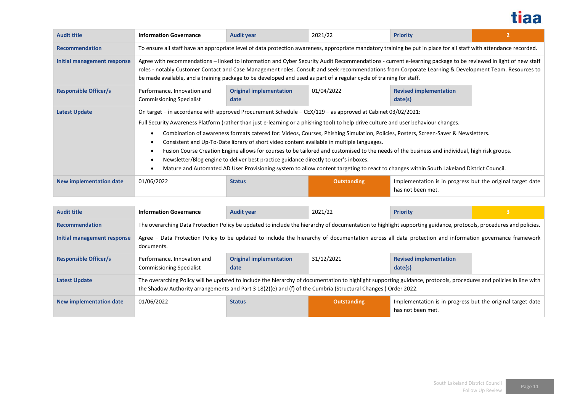

| <b>Audit title</b>           | <b>Information Governance</b>                                                                                                                                      | <b>Audit year</b>                                                                                                                                                                                                                                                                                                                                                                                                                                                                                                                                                                                                                                                                                                                                                                                                                                                         | 2021/22            | <b>Priority</b>                                                                 | $\overline{2}$ |  |
|------------------------------|--------------------------------------------------------------------------------------------------------------------------------------------------------------------|---------------------------------------------------------------------------------------------------------------------------------------------------------------------------------------------------------------------------------------------------------------------------------------------------------------------------------------------------------------------------------------------------------------------------------------------------------------------------------------------------------------------------------------------------------------------------------------------------------------------------------------------------------------------------------------------------------------------------------------------------------------------------------------------------------------------------------------------------------------------------|--------------------|---------------------------------------------------------------------------------|----------------|--|
| <b>Recommendation</b>        | To ensure all staff have an appropriate level of data protection awareness, appropriate mandatory training be put in place for all staff with attendance recorded. |                                                                                                                                                                                                                                                                                                                                                                                                                                                                                                                                                                                                                                                                                                                                                                                                                                                                           |                    |                                                                                 |                |  |
| Initial management response  |                                                                                                                                                                    | Agree with recommendations – linked to Information and Cyber Security Audit Recommendations - current e-learning package to be reviewed in light of new staff<br>roles - notably Customer Contact and Case Management roles. Consult and seek recommendations from Corporate Learning & Development Team. Resources to<br>be made available, and a training package to be developed and used as part of a regular cycle of training for staff.                                                                                                                                                                                                                                                                                                                                                                                                                            |                    |                                                                                 |                |  |
| <b>Responsible Officer/s</b> | Performance, Innovation and<br><b>Commissioning Specialist</b>                                                                                                     | <b>Original implementation</b><br>date                                                                                                                                                                                                                                                                                                                                                                                                                                                                                                                                                                                                                                                                                                                                                                                                                                    | 01/04/2022         | <b>Revised implementation</b><br>date(s)                                        |                |  |
| Latest Update                |                                                                                                                                                                    | On target – in accordance with approved Procurement Schedule – CEX/129 – as approved at Cabinet 03/02/2021:<br>Full Security Awareness Platform (rather than just e-learning or a phishing tool) to help drive culture and user behaviour changes.<br>Combination of awareness formats catered for: Videos, Courses, Phishing Simulation, Policies, Posters, Screen-Saver & Newsletters.<br>Consistent and Up-To-Date library of short video content available in multiple languages.<br>Fusion Course Creation Engine allows for courses to be tailored and customised to the needs of the business and individual, high risk groups.<br>Newsletter/Blog engine to deliver best practice guidance directly to user's inboxes.<br>Mature and Automated AD User Provisioning system to allow content targeting to react to changes within South Lakeland District Council. |                    |                                                                                 |                |  |
| New implementation date      | 01/06/2022                                                                                                                                                         | <b>Status</b>                                                                                                                                                                                                                                                                                                                                                                                                                                                                                                                                                                                                                                                                                                                                                                                                                                                             | <b>Outstanding</b> | Implementation is in progress but the original target date<br>has not been met. |                |  |

| <b>Audit title</b>           | <b>Information Governance</b>                                                                                                                                        | <b>Audit year</b>                                                                                                                                                                                                                                                                   | 2021/22            | <b>Priority</b>                                                                 |  |  |
|------------------------------|----------------------------------------------------------------------------------------------------------------------------------------------------------------------|-------------------------------------------------------------------------------------------------------------------------------------------------------------------------------------------------------------------------------------------------------------------------------------|--------------------|---------------------------------------------------------------------------------|--|--|
| <b>Recommendation</b>        | The overarching Data Protection Policy be updated to include the hierarchy of documentation to highlight supporting guidance, protocols, procedures and policies.    |                                                                                                                                                                                                                                                                                     |                    |                                                                                 |  |  |
| Initial management response  | Agree - Data Protection Policy to be updated to include the hierarchy of documentation across all data protection and information governance framework<br>documents. |                                                                                                                                                                                                                                                                                     |                    |                                                                                 |  |  |
| <b>Responsible Officer/s</b> | Performance, Innovation and<br><b>Commissioning Specialist</b>                                                                                                       | <b>Original implementation</b><br>date                                                                                                                                                                                                                                              | 31/12/2021         | <b>Revised implementation</b><br>date(s)                                        |  |  |
| <b>Latest Update</b>         |                                                                                                                                                                      | The overarching Policy will be updated to include the hierarchy of documentation to highlight supporting guidance, protocols, procedures and policies in line with<br>the Shadow Authority arrangements and Part 3 18(2)(e) and (f) of the Cumbria (Structural Changes) Order 2022. |                    |                                                                                 |  |  |
| New implementation date      | 01/06/2022                                                                                                                                                           | <b>Status</b>                                                                                                                                                                                                                                                                       | <b>Outstanding</b> | Implementation is in progress but the original target date<br>has not been met. |  |  |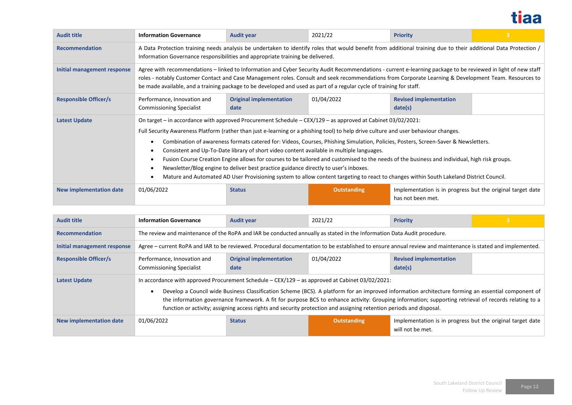

| <b>Audit title</b>             | <b>Information Governance</b>                                                                                                                                                                                                                                                                                                                                                                                                                  | <b>Audit year</b>                                                                                                                                                                                                                                                                                                                                                                                                                                                                                                                                                                                                                                                                                                                                                                                                                                                         | 2021/22            | <b>Priority</b>                                                                 | $\overline{3}$ |  |  |
|--------------------------------|------------------------------------------------------------------------------------------------------------------------------------------------------------------------------------------------------------------------------------------------------------------------------------------------------------------------------------------------------------------------------------------------------------------------------------------------|---------------------------------------------------------------------------------------------------------------------------------------------------------------------------------------------------------------------------------------------------------------------------------------------------------------------------------------------------------------------------------------------------------------------------------------------------------------------------------------------------------------------------------------------------------------------------------------------------------------------------------------------------------------------------------------------------------------------------------------------------------------------------------------------------------------------------------------------------------------------------|--------------------|---------------------------------------------------------------------------------|----------------|--|--|
| <b>Recommendation</b>          |                                                                                                                                                                                                                                                                                                                                                                                                                                                | A Data Protection training needs analysis be undertaken to identify roles that would benefit from additional training due to their additional Data Protection /<br>Information Governance responsibilities and appropriate training be delivered.                                                                                                                                                                                                                                                                                                                                                                                                                                                                                                                                                                                                                         |                    |                                                                                 |                |  |  |
| Initial management response    | Agree with recommendations – linked to Information and Cyber Security Audit Recommendations - current e-learning package to be reviewed in light of new staff<br>roles - notably Customer Contact and Case Management roles. Consult and seek recommendations from Corporate Learning & Development Team. Resources to<br>be made available, and a training package to be developed and used as part of a regular cycle of training for staff. |                                                                                                                                                                                                                                                                                                                                                                                                                                                                                                                                                                                                                                                                                                                                                                                                                                                                           |                    |                                                                                 |                |  |  |
| <b>Responsible Officer/s</b>   | Performance, Innovation and<br><b>Commissioning Specialist</b>                                                                                                                                                                                                                                                                                                                                                                                 | <b>Original implementation</b><br>date                                                                                                                                                                                                                                                                                                                                                                                                                                                                                                                                                                                                                                                                                                                                                                                                                                    | 01/04/2022         | <b>Revised implementation</b><br>date(s)                                        |                |  |  |
| <b>Latest Update</b>           |                                                                                                                                                                                                                                                                                                                                                                                                                                                | On target - in accordance with approved Procurement Schedule - CEX/129 - as approved at Cabinet 03/02/2021:<br>Full Security Awareness Platform (rather than just e-learning or a phishing tool) to help drive culture and user behaviour changes.<br>Combination of awareness formats catered for: Videos, Courses, Phishing Simulation, Policies, Posters, Screen-Saver & Newsletters.<br>Consistent and Up-To-Date library of short video content available in multiple languages.<br>Fusion Course Creation Engine allows for courses to be tailored and customised to the needs of the business and individual, high risk groups.<br>Newsletter/Blog engine to deliver best practice guidance directly to user's inboxes.<br>Mature and Automated AD User Provisioning system to allow content targeting to react to changes within South Lakeland District Council. |                    |                                                                                 |                |  |  |
| <b>New implementation date</b> | 01/06/2022                                                                                                                                                                                                                                                                                                                                                                                                                                     | <b>Status</b>                                                                                                                                                                                                                                                                                                                                                                                                                                                                                                                                                                                                                                                                                                                                                                                                                                                             | <b>Outstanding</b> | Implementation is in progress but the original target date<br>has not been met. |                |  |  |

| <b>Audit title</b>           | <b>Information Governance</b>                                                                                                                              | <b>Audit year</b>                                                                                                                                                                                                                                                                                                                                                                                                                                                                                                                     | 2021/22     | Priority                                                                       |  |  |  |  |
|------------------------------|------------------------------------------------------------------------------------------------------------------------------------------------------------|---------------------------------------------------------------------------------------------------------------------------------------------------------------------------------------------------------------------------------------------------------------------------------------------------------------------------------------------------------------------------------------------------------------------------------------------------------------------------------------------------------------------------------------|-------------|--------------------------------------------------------------------------------|--|--|--|--|
| <b>Recommendation</b>        |                                                                                                                                                            | The review and maintenance of the RoPA and IAR be conducted annually as stated in the Information Data Audit procedure.                                                                                                                                                                                                                                                                                                                                                                                                               |             |                                                                                |  |  |  |  |
| Initial management response  | Agree – current RoPA and IAR to be reviewed. Procedural documentation to be established to ensure annual review and maintenance is stated and implemented. |                                                                                                                                                                                                                                                                                                                                                                                                                                                                                                                                       |             |                                                                                |  |  |  |  |
| <b>Responsible Officer/s</b> | Performance, Innovation and<br><b>Commissioning Specialist</b>                                                                                             | <b>Original implementation</b><br>date                                                                                                                                                                                                                                                                                                                                                                                                                                                                                                | 01/04/2022  | <b>Revised implementation</b><br>date(s)                                       |  |  |  |  |
| <b>Latest Update</b>         |                                                                                                                                                            | In accordance with approved Procurement Schedule $-CEX/129$ – as approved at Cabinet 03/02/2021:<br>Develop a Council wide Business Classification Scheme (BCS). A platform for an improved information architecture forming an essential component of<br>the information governance framework. A fit for purpose BCS to enhance activity: Grouping information; supporting retrieval of records relating to a<br>function or activity; assigning access rights and security protection and assigning retention periods and disposal. |             |                                                                                |  |  |  |  |
| New implementation date      | 01/06/2022                                                                                                                                                 | <b>Status</b>                                                                                                                                                                                                                                                                                                                                                                                                                                                                                                                         | Outstanding | Implementation is in progress but the original target date<br>will not be met. |  |  |  |  |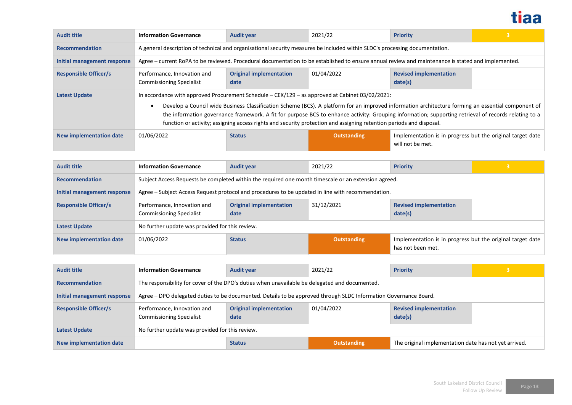

| <b>Audit title</b>           | <b>Information Governance</b>                                                                                                                                                                                                                                                                                                                                                                                                                                                                                                         | <b>Audit year</b>                                                                                                                                  | 2021/22     | <b>Priority</b>                                                                | 3 |  |  |  |
|------------------------------|---------------------------------------------------------------------------------------------------------------------------------------------------------------------------------------------------------------------------------------------------------------------------------------------------------------------------------------------------------------------------------------------------------------------------------------------------------------------------------------------------------------------------------------|----------------------------------------------------------------------------------------------------------------------------------------------------|-------------|--------------------------------------------------------------------------------|---|--|--|--|
| <b>Recommendation</b>        | A general description of technical and organisational security measures be included within SLDC's processing documentation.                                                                                                                                                                                                                                                                                                                                                                                                           |                                                                                                                                                    |             |                                                                                |   |  |  |  |
| Initial management response  |                                                                                                                                                                                                                                                                                                                                                                                                                                                                                                                                       | Agree – current RoPA to be reviewed. Procedural documentation to be established to ensure annual review and maintenance is stated and implemented. |             |                                                                                |   |  |  |  |
| <b>Responsible Officer/s</b> | Performance, Innovation and<br><b>Commissioning Specialist</b>                                                                                                                                                                                                                                                                                                                                                                                                                                                                        | <b>Original implementation</b><br>date                                                                                                             | 01/04/2022  | <b>Revised implementation</b><br>date(s)                                       |   |  |  |  |
| <b>Latest Update</b>         | In accordance with approved Procurement Schedule $-CEX/129$ – as approved at Cabinet 03/02/2021:<br>Develop a Council wide Business Classification Scheme (BCS). A platform for an improved information architecture forming an essential component of<br>the information governance framework. A fit for purpose BCS to enhance activity: Grouping information; supporting retrieval of records relating to a<br>function or activity; assigning access rights and security protection and assigning retention periods and disposal. |                                                                                                                                                    |             |                                                                                |   |  |  |  |
| New implementation date      | 01/06/2022                                                                                                                                                                                                                                                                                                                                                                                                                                                                                                                            | <b>Status</b>                                                                                                                                      | Outstanding | Implementation is in progress but the original target date<br>will not be met. |   |  |  |  |

| <b>Audit title</b>           | <b>Information Governance</b>                                                                        | <b>Audit year</b>                      | 2021/22            | <b>Priority</b>                                                                 | 3 |  |  |
|------------------------------|------------------------------------------------------------------------------------------------------|----------------------------------------|--------------------|---------------------------------------------------------------------------------|---|--|--|
| <b>Recommendation</b>        | Subject Access Requests be completed within the required one month timescale or an extension agreed. |                                        |                    |                                                                                 |   |  |  |
| Initial management response  | Agree – Subject Access Request protocol and procedures to be updated in line with recommendation.    |                                        |                    |                                                                                 |   |  |  |
| <b>Responsible Officer/s</b> | Performance, Innovation and<br><b>Commissioning Specialist</b>                                       | <b>Original implementation</b><br>date | 31/12/2021         | <b>Revised implementation</b><br>date(s)                                        |   |  |  |
| <b>Latest Update</b>         | No further update was provided for this review.                                                      |                                        |                    |                                                                                 |   |  |  |
| New implementation date      | 01/06/2022                                                                                           | <b>Status</b>                          | <b>Outstanding</b> | Implementation is in progress but the original target date<br>has not been met. |   |  |  |

| <b>Audit title</b>             | <b>Information Governance</b>                                                                                    | <b>Audit year</b>                      | 2021/22            | Priority                                              | 3 |  |  |
|--------------------------------|------------------------------------------------------------------------------------------------------------------|----------------------------------------|--------------------|-------------------------------------------------------|---|--|--|
| <b>Recommendation</b>          | The responsibility for cover of the DPO's duties when unavailable be delegated and documented.                   |                                        |                    |                                                       |   |  |  |
| Initial management response    | Agree – DPO delegated duties to be documented. Details to be approved through SLDC Information Governance Board. |                                        |                    |                                                       |   |  |  |
| <b>Responsible Officer/s</b>   | Performance, Innovation and<br><b>Commissioning Specialist</b>                                                   | <b>Original implementation</b><br>date | 01/04/2022         | <b>Revised implementation</b><br>date(s)              |   |  |  |
| <b>Latest Update</b>           | No further update was provided for this review.                                                                  |                                        |                    |                                                       |   |  |  |
| <b>New implementation date</b> |                                                                                                                  | <b>Status</b>                          | <b>Outstanding</b> | The original implementation date has not yet arrived. |   |  |  |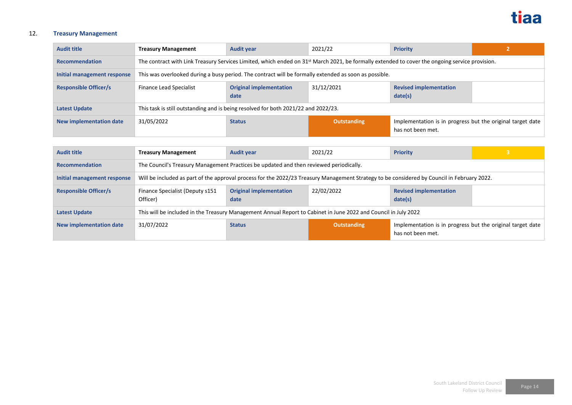

# 12. **Treasury Management**

| <b>Audit title</b>           | <b>Treasury Management</b>                                                                                                                                 | <b>Audit year</b>                      | 2021/22            | <b>Priority</b>                                                                 |  |
|------------------------------|------------------------------------------------------------------------------------------------------------------------------------------------------------|----------------------------------------|--------------------|---------------------------------------------------------------------------------|--|
| <b>Recommendation</b>        | The contract with Link Treasury Services Limited, which ended on 31 <sup>st</sup> March 2021, be formally extended to cover the ongoing service provision. |                                        |                    |                                                                                 |  |
| Initial management response  | This was overlooked during a busy period. The contract will be formally extended as soon as possible.                                                      |                                        |                    |                                                                                 |  |
| <b>Responsible Officer/s</b> | Finance Lead Specialist                                                                                                                                    | <b>Original implementation</b><br>date | 31/12/2021         | <b>Revised implementation</b><br>date(s)                                        |  |
| <b>Latest Update</b>         | This task is still outstanding and is being resolved for both 2021/22 and 2022/23.                                                                         |                                        |                    |                                                                                 |  |
| New implementation date      | 31/05/2022                                                                                                                                                 | <b>Status</b>                          | <b>Outstanding</b> | Implementation is in progress but the original target date<br>has not been met. |  |

| <b>Audit title</b>           | <b>Treasury Management</b>                                                                                                                  | <b>Audit year</b>                      | 2021/22            | <b>Priority</b>                                                                 |  |  |
|------------------------------|---------------------------------------------------------------------------------------------------------------------------------------------|----------------------------------------|--------------------|---------------------------------------------------------------------------------|--|--|
| <b>Recommendation</b>        | The Council's Treasury Management Practices be updated and then reviewed periodically.                                                      |                                        |                    |                                                                                 |  |  |
| Initial management response  | Will be included as part of the approval process for the 2022/23 Treasury Management Strategy to be considered by Council in February 2022. |                                        |                    |                                                                                 |  |  |
| <b>Responsible Officer/s</b> | Finance Specialist (Deputy s151<br>Officer)                                                                                                 | <b>Original implementation</b><br>date | 22/02/2022         | <b>Revised implementation</b><br>date(s)                                        |  |  |
| <b>Latest Update</b>         | This will be included in the Treasury Management Annual Report to Cabinet in June 2022 and Council in July 2022                             |                                        |                    |                                                                                 |  |  |
| New implementation date      | 31/07/2022                                                                                                                                  | <b>Status</b>                          | <b>Outstanding</b> | Implementation is in progress but the original target date<br>has not been met. |  |  |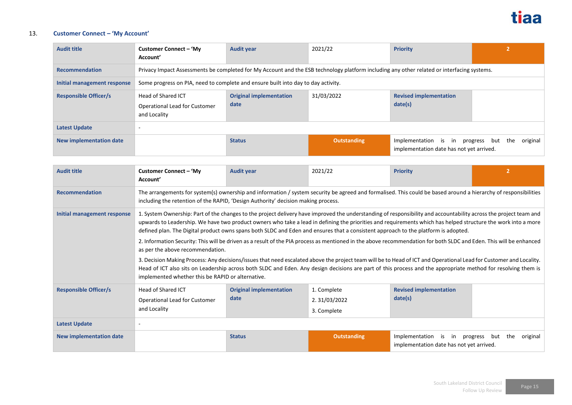

### 13. **Customer Connect – 'My Account'**

| <b>Audit title</b>             | Customer Connect – 'My<br>Account'                                                                                                         | <b>Audit year</b>                      | 2021/22            | <b>Priority</b>                                                  | 2                               |
|--------------------------------|--------------------------------------------------------------------------------------------------------------------------------------------|----------------------------------------|--------------------|------------------------------------------------------------------|---------------------------------|
| <b>Recommendation</b>          | Privacy Impact Assessments be completed for My Account and the ESB technology platform including any other related or interfacing systems. |                                        |                    |                                                                  |                                 |
| Initial management response    | Some progress on PIA, need to complete and ensure built into day to day activity.                                                          |                                        |                    |                                                                  |                                 |
| <b>Responsible Officer/s</b>   | Head of Shared ICT<br>Operational Lead for Customer<br>and Locality                                                                        | <b>Original implementation</b><br>date | 31/03/2022         | <b>Revised implementation</b><br>date(s)                         |                                 |
| <b>Latest Update</b>           |                                                                                                                                            |                                        |                    |                                                                  |                                 |
| <b>New implementation date</b> |                                                                                                                                            | <b>Status</b>                          | <b>Outstanding</b> | Implementation is in<br>implementation date has not yet arrived. | original<br>progress but<br>the |

| <b>Audit title</b>           | Customer Connect – 'My<br>Account'                                                                                                                                                                                                                                                                                                                                                                                                                                                                                                                                                                                                                                                                                                                                                                                                                                                                                                                                                                                                                                             | <b>Audit year</b>                      | 2021/22                                    | <b>Priority</b>                                                                                        |  |  |  |  |
|------------------------------|--------------------------------------------------------------------------------------------------------------------------------------------------------------------------------------------------------------------------------------------------------------------------------------------------------------------------------------------------------------------------------------------------------------------------------------------------------------------------------------------------------------------------------------------------------------------------------------------------------------------------------------------------------------------------------------------------------------------------------------------------------------------------------------------------------------------------------------------------------------------------------------------------------------------------------------------------------------------------------------------------------------------------------------------------------------------------------|----------------------------------------|--------------------------------------------|--------------------------------------------------------------------------------------------------------|--|--|--|--|
| <b>Recommendation</b>        | The arrangements for system(s) ownership and information / system security be agreed and formalised. This could be based around a hierarchy of responsibilities<br>including the retention of the RAPID, 'Design Authority' decision making process.                                                                                                                                                                                                                                                                                                                                                                                                                                                                                                                                                                                                                                                                                                                                                                                                                           |                                        |                                            |                                                                                                        |  |  |  |  |
| Initial management response  | 1. System Ownership: Part of the changes to the project delivery have improved the understanding of responsibility and accountability across the project team and<br>upwards to Leadership. We have two product owners who take a lead in defining the priorities and requirements which has helped structure the work into a more<br>defined plan. The Digital product owns spans both SLDC and Eden and ensures that a consistent approach to the platform is adopted.<br>2. Information Security: This will be driven as a result of the PIA process as mentioned in the above recommendation for both SLDC and Eden. This will be enhanced<br>as per the above recommendation.<br>3. Decision Making Process: Any decisions/issues that need escalated above the project team will be to Head of ICT and Operational Lead for Customer and Locality.<br>Head of ICT also sits on Leadership across both SLDC and Eden. Any design decisions are part of this process and the appropriate method for resolving them is<br>implemented whether this be RAPID or alternative. |                                        |                                            |                                                                                                        |  |  |  |  |
| <b>Responsible Officer/s</b> | Head of Shared ICT<br>Operational Lead for Customer<br>and Locality                                                                                                                                                                                                                                                                                                                                                                                                                                                                                                                                                                                                                                                                                                                                                                                                                                                                                                                                                                                                            | <b>Original implementation</b><br>date | 1. Complete<br>2.31/03/2022<br>3. Complete | <b>Revised implementation</b><br>date(s)                                                               |  |  |  |  |
| <b>Latest Update</b>         |                                                                                                                                                                                                                                                                                                                                                                                                                                                                                                                                                                                                                                                                                                                                                                                                                                                                                                                                                                                                                                                                                |                                        |                                            |                                                                                                        |  |  |  |  |
| New implementation date      |                                                                                                                                                                                                                                                                                                                                                                                                                                                                                                                                                                                                                                                                                                                                                                                                                                                                                                                                                                                                                                                                                | <b>Status</b>                          | <b>Outstanding</b>                         | Implementation<br>is in progress<br>original<br>but<br>the<br>implementation date has not yet arrived. |  |  |  |  |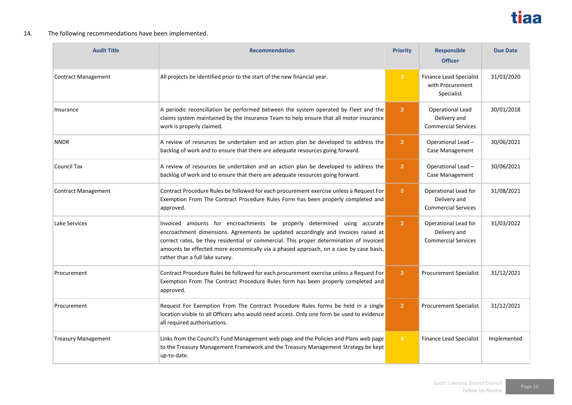

### 14. The following recommendations have been implemented.

| <b>Audit Title</b>         | <b>Recommendation</b>                                                                                                                                                                                                                                                                                                                                                                | <b>Priority</b> | <b>Responsible</b><br><b>Officer</b>                               | <b>Due Date</b> |
|----------------------------|--------------------------------------------------------------------------------------------------------------------------------------------------------------------------------------------------------------------------------------------------------------------------------------------------------------------------------------------------------------------------------------|-----------------|--------------------------------------------------------------------|-----------------|
| <b>Contract Management</b> | All projects be identified prior to the start of the new financial year.                                                                                                                                                                                                                                                                                                             | $\overline{3}$  | <b>Finance Lead Specialist</b><br>with Procurement<br>Specialist   | 31/03/2020      |
| Insurance                  | A periodic reconciliation be performed between the system operated by Fleet and the<br>claims system maintained by the Insurance Team to help ensure that all motor insurance<br>work is properly claimed.                                                                                                                                                                           | $\overline{2}$  | Operational Lead<br>Delivery and<br><b>Commercial Services</b>     | 30/01/2018      |
| <b>NNDR</b>                | A review of resources be undertaken and an action plan be developed to address the<br>backlog of work and to ensure that there are adequate resources going forward.                                                                                                                                                                                                                 | $\overline{2}$  | Operational Lead -<br>Case Management                              | 30/06/2021      |
| Council Tax                | A review of resources be undertaken and an action plan be developed to address the<br>backlog of work and to ensure that there are adequate resources going forward.                                                                                                                                                                                                                 | $\overline{2}$  | Operational Lead-<br>Case Management                               | 30/06/2021      |
| <b>Contract Management</b> | Contract Procedure Rules be followed for each procurement exercise unless a Request For<br>Exemption From The Contract Procedure Rules Form has been properly completed and<br>approved.                                                                                                                                                                                             | $\overline{2}$  | Operational Lead for<br>Delivery and<br><b>Commercial Services</b> | 31/08/2021      |
| Lake Services              | Invoiced amounts for encroachments be properly determined using accurate<br>encroachment dimensions. Agreements be updated accordingly and invoices raised at<br>correct rates, be they residential or commercial. This proper determination of invoiced<br>amounts be effected more economically via a phased approach, on a case by case basis,<br>rather than a full lake survey. | $\overline{2}$  | Operational Lead for<br>Delivery and<br><b>Commercial Services</b> | 31/03/2022      |
| Procurement                | Contract Procedure Rules be followed for each procurement exercise unless a Request For<br>Exemption From The Contract Procedure Rules form has been properly completed and<br>approved.                                                                                                                                                                                             | $\overline{2}$  | <b>Procurement Specialist</b>                                      | 31/12/2021      |
| Procurement                | Request For Exemption From The Contract Procedure Rules forms be held in a single<br>location visible to all Officers who would need access. Only one form be used to evidence<br>all required authorisations.                                                                                                                                                                       | $\overline{2}$  | <b>Procurement Specialist</b>                                      | 31/12/2021      |
| <b>Treasury Management</b> | Links from the Council's Fund Management web page and the Policies and Plans web page<br>to the Treasury Management Framework and the Treasury Management Strategy be kept<br>up-to-date.                                                                                                                                                                                            | $\overline{3}$  | <b>Finance Lead Specialist</b>                                     | Implemented     |